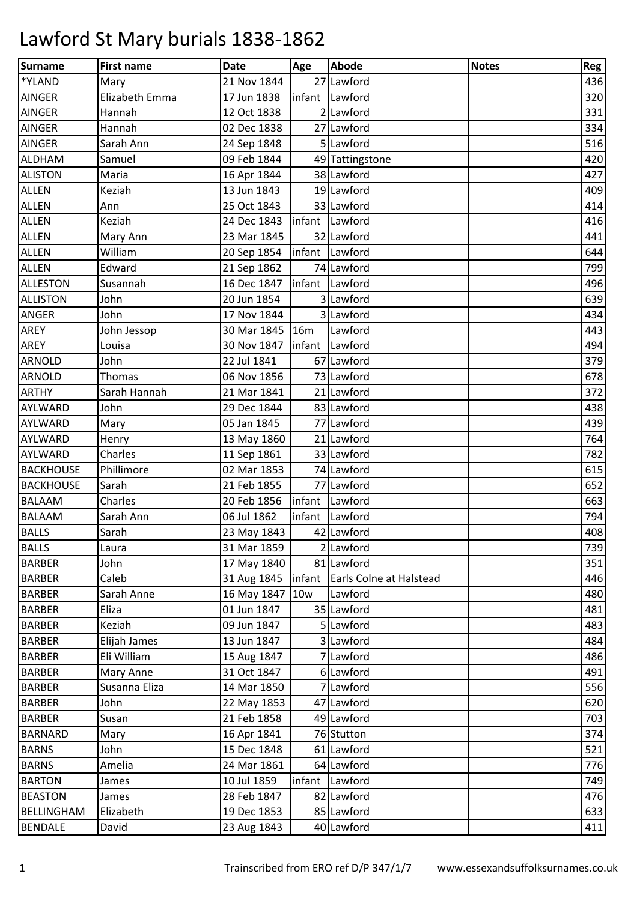| <b>Surname</b>    | <b>First name</b> | <b>Date</b>                  | Age | <b>Abode</b>                   | <b>Notes</b> | Reg |
|-------------------|-------------------|------------------------------|-----|--------------------------------|--------------|-----|
| *YLAND            | Mary              | 21 Nov 1844                  |     | 27 Lawford                     |              | 436 |
| <b>AINGER</b>     | Elizabeth Emma    | 17 Jun 1838                  |     | infant Lawford                 |              | 320 |
| <b>AINGER</b>     | Hannah            | 12 Oct 1838                  |     | 2 Lawford                      |              | 331 |
| <b>AINGER</b>     | Hannah            | 02 Dec 1838                  |     | 27 Lawford                     |              | 334 |
| <b>AINGER</b>     | Sarah Ann         | 24 Sep 1848                  |     | 5 Lawford                      |              | 516 |
| <b>ALDHAM</b>     | Samuel            | 09 Feb 1844                  |     | 49 Tattingstone                |              | 420 |
| <b>ALISTON</b>    | Maria             | 16 Apr 1844                  |     | 38 Lawford                     |              | 427 |
| <b>ALLEN</b>      | Keziah            | 13 Jun 1843                  |     | 19 Lawford                     |              | 409 |
| <b>ALLEN</b>      | Ann               | 25 Oct 1843                  |     | 33 Lawford                     |              | 414 |
| <b>ALLEN</b>      | Keziah            | 24 Dec 1843                  |     | infant Lawford                 |              | 416 |
| ALLEN             | Mary Ann          | 23 Mar 1845                  |     | 32 Lawford                     |              | 441 |
| <b>ALLEN</b>      | William           | 20 Sep 1854                  |     | infant Lawford                 |              | 644 |
| <b>ALLEN</b>      | Edward            | 21 Sep 1862                  |     | 74 Lawford                     |              | 799 |
| <b>ALLESTON</b>   | Susannah          | 16 Dec 1847                  |     | infant Lawford                 |              | 496 |
| <b>ALLISTON</b>   | John              | 20 Jun 1854                  |     | 3 Lawford                      |              | 639 |
| <b>ANGER</b>      | John              | 17 Nov 1844                  |     | 3 Lawford                      |              | 434 |
| AREY              | John Jessop       | 30 Mar 1845 16m              |     | Lawford                        |              | 443 |
| <b>AREY</b>       | Louisa            | 30 Nov 1847   infant Lawford |     |                                |              | 494 |
| <b>ARNOLD</b>     | John              | 22 Jul 1841                  |     | 67 Lawford                     |              | 379 |
| <b>ARNOLD</b>     | Thomas            | 06 Nov 1856                  |     | 73 Lawford                     |              | 678 |
| <b>ARTHY</b>      | Sarah Hannah      | 21 Mar 1841                  |     | 21 Lawford                     |              | 372 |
| AYLWARD           | John              | 29 Dec 1844                  |     | 83 Lawford                     |              | 438 |
| <b>AYLWARD</b>    | Mary              | 05 Jan 1845                  |     | 77 Lawford                     |              | 439 |
| AYLWARD           | Henry             | 13 May 1860                  |     | 21 Lawford                     |              | 764 |
| AYLWARD           | Charles           | 11 Sep 1861                  |     | 33 Lawford                     |              | 782 |
| <b>BACKHOUSE</b>  | Phillimore        | 02 Mar 1853                  |     | 74 Lawford                     |              | 615 |
| <b>BACKHOUSE</b>  | Sarah             | 21 Feb 1855                  |     | 77 Lawford                     |              | 652 |
| <b>BALAAM</b>     | Charles           | 20 Feb 1856                  |     | infant Lawford                 |              | 663 |
| <b>BALAAM</b>     | Sarah Ann         | 06 Jul 1862                  |     | infant Lawford                 |              | 794 |
| <b>BALLS</b>      | Sarah             | 23 May 1843                  |     | 42 Lawford                     |              | 408 |
| <b>BALLS</b>      | Laura             | 31 Mar 1859                  |     | 2 Lawford                      |              | 739 |
| <b>BARBER</b>     | John              | 17 May 1840                  |     | 81 Lawford                     |              | 351 |
| <b>BARBER</b>     | Caleb             | 31 Aug 1845                  |     | infant Earls Colne at Halstead |              | 446 |
| <b>BARBER</b>     | Sarah Anne        | 16 May 1847 10w              |     | Lawford                        |              | 480 |
| <b>BARBER</b>     | Eliza             | 01 Jun 1847                  |     | 35 Lawford                     |              | 481 |
| <b>BARBER</b>     | Keziah            | 09 Jun 1847                  |     | 5 Lawford                      |              | 483 |
| <b>BARBER</b>     | Elijah James      | 13 Jun 1847                  |     | 3 Lawford                      |              | 484 |
| <b>BARBER</b>     | Eli William       | 15 Aug 1847                  |     | 7 Lawford                      |              | 486 |
| <b>BARBER</b>     | Mary Anne         | 31 Oct 1847                  |     | 6 Lawford                      |              | 491 |
| <b>BARBER</b>     | Susanna Eliza     | 14 Mar 1850                  |     | 7 Lawford                      |              | 556 |
| <b>BARBER</b>     | John              | 22 May 1853                  |     | 47 Lawford                     |              | 620 |
| <b>BARBER</b>     | Susan             | 21 Feb 1858                  |     | 49 Lawford                     |              | 703 |
| <b>BARNARD</b>    | Mary              | 16 Apr 1841                  |     | 76 Stutton                     |              | 374 |
| <b>BARNS</b>      | John              | 15 Dec 1848                  |     | 61 Lawford                     |              | 521 |
| <b>BARNS</b>      | Amelia            | 24 Mar 1861                  |     | 64 Lawford                     |              | 776 |
| <b>BARTON</b>     | James             | 10 Jul 1859                  |     | infant Lawford                 |              | 749 |
| <b>BEASTON</b>    | James             | 28 Feb 1847                  |     | 82 Lawford                     |              | 476 |
| <b>BELLINGHAM</b> | Elizabeth         | 19 Dec 1853                  |     | 85 Lawford                     |              | 633 |
| <b>BENDALE</b>    | David             | 23 Aug 1843                  |     | 40 Lawford                     |              | 411 |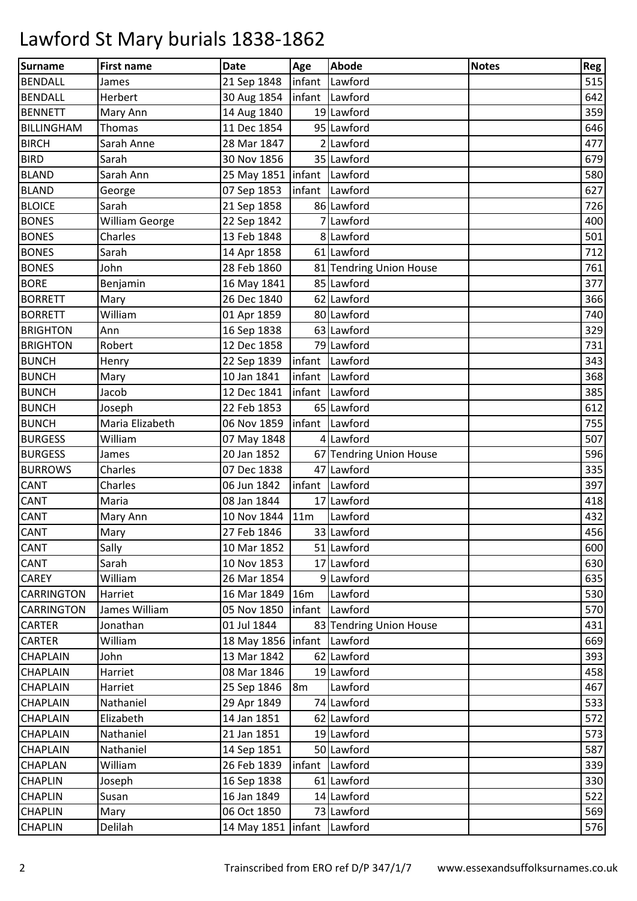| <b>Surname</b>    | <b>First name</b>     | <b>Date</b>                    | Age            | <b>Abode</b>            | <b>Notes</b> | Reg |
|-------------------|-----------------------|--------------------------------|----------------|-------------------------|--------------|-----|
| <b>BENDALL</b>    | James                 | 21 Sep 1848                    |                | infant Lawford          |              | 515 |
| <b>BENDALL</b>    | Herbert               | 30 Aug 1854                    |                | infant Lawford          |              | 642 |
| <b>BENNETT</b>    | Mary Ann              | 14 Aug 1840                    |                | 19 Lawford              |              | 359 |
| <b>BILLINGHAM</b> | Thomas                | 11 Dec 1854                    |                | 95 Lawford              |              | 646 |
| <b>BIRCH</b>      | Sarah Anne            | 28 Mar 1847                    |                | 2 Lawford               |              | 477 |
| <b>BIRD</b>       | Sarah                 | 30 Nov 1856                    |                | 35 Lawford              |              | 679 |
| <b>BLAND</b>      | Sarah Ann             | 25 May 1851   infant   Lawford |                |                         |              | 580 |
| <b>BLAND</b>      | George                | 07 Sep 1853                    |                | infant Lawford          |              | 627 |
| <b>BLOICE</b>     | Sarah                 | 21 Sep 1858                    |                | 86 Lawford              |              | 726 |
| <b>BONES</b>      | <b>William George</b> | 22 Sep 1842                    |                | 7 Lawford               |              | 400 |
| <b>BONES</b>      | Charles               | 13 Feb 1848                    |                | 8 Lawford               |              | 501 |
| <b>BONES</b>      | Sarah                 | 14 Apr 1858                    |                | 61 Lawford              |              | 712 |
| <b>BONES</b>      | John                  | 28 Feb 1860                    |                | 81 Tendring Union House |              | 761 |
| <b>BORE</b>       | Benjamin              | 16 May 1841                    |                | 85 Lawford              |              | 377 |
| <b>BORRETT</b>    | Mary                  | 26 Dec 1840                    |                | 62 Lawford              |              | 366 |
| <b>BORRETT</b>    | William               | 01 Apr 1859                    |                | 80 Lawford              |              | 740 |
| <b>BRIGHTON</b>   | Ann                   | 16 Sep 1838                    |                | 63 Lawford              |              | 329 |
| <b>BRIGHTON</b>   | Robert                | 12 Dec 1858                    |                | 79 Lawford              |              | 731 |
| <b>BUNCH</b>      | Henry                 | 22 Sep 1839                    |                | infant Lawford          |              | 343 |
| <b>BUNCH</b>      | Mary                  | 10 Jan 1841                    |                | infant Lawford          |              | 368 |
| <b>BUNCH</b>      | Jacob                 | 12 Dec 1841                    | infant         | Lawford                 |              | 385 |
| <b>BUNCH</b>      | Joseph                | 22 Feb 1853                    |                | 65 Lawford              |              | 612 |
| <b>BUNCH</b>      | Maria Elizabeth       | 06 Nov 1859                    |                | infant Lawford          |              | 755 |
| <b>BURGESS</b>    | William               | 07 May 1848                    |                | 4 Lawford               |              | 507 |
| <b>BURGESS</b>    | James                 | 20 Jan 1852                    |                | 67 Tendring Union House |              | 596 |
| <b>BURROWS</b>    | Charles               | 07 Dec 1838                    |                | 47 Lawford              |              | 335 |
| <b>CANT</b>       | Charles               | 06 Jun 1842                    |                | infant Lawford          |              | 397 |
| <b>CANT</b>       | Maria                 | 08 Jan 1844                    |                | 17 Lawford              |              | 418 |
| <b>CANT</b>       | Mary Ann              | 10 Nov 1844                    | 11m            | Lawford                 |              | 432 |
| <b>CANT</b>       | Mary                  | 27 Feb 1846                    |                | 33 Lawford              |              | 456 |
| <b>CANT</b>       | Sally                 | 10 Mar 1852                    |                | 51 Lawford              |              | 600 |
| <b>CANT</b>       | Sarah                 | 10 Nov 1853                    |                | 17 Lawford              |              | 630 |
| <b>CAREY</b>      | William               | 26 Mar 1854                    |                | 9 Lawford               |              | 635 |
| <b>CARRINGTON</b> | Harriet               | 16 Mar 1849 16m                |                | Lawford                 |              | 530 |
| <b>CARRINGTON</b> | James William         | 05 Nov 1850                    |                | infant Lawford          |              | 570 |
| <b>CARTER</b>     | Jonathan              | 01 Jul 1844                    |                | 83 Tendring Union House |              | 431 |
| <b>CARTER</b>     | William               | 18 May 1856 Infant             |                | Lawford                 |              | 669 |
| <b>CHAPLAIN</b>   | John                  | 13 Mar 1842                    |                | 62 Lawford              |              | 393 |
| <b>CHAPLAIN</b>   | Harriet               | 08 Mar 1846                    |                | 19 Lawford              |              | 458 |
| <b>CHAPLAIN</b>   | Harriet               | 25 Sep 1846                    | 8 <sub>m</sub> | Lawford                 |              | 467 |
| <b>CHAPLAIN</b>   | Nathaniel             | 29 Apr 1849                    |                | 74 Lawford              |              | 533 |
| <b>CHAPLAIN</b>   | Elizabeth             | 14 Jan 1851                    |                | 62 Lawford              |              | 572 |
| <b>CHAPLAIN</b>   | Nathaniel             | 21 Jan 1851                    |                | 19 Lawford              |              | 573 |
| <b>CHAPLAIN</b>   | Nathaniel             | 14 Sep 1851                    |                | 50 Lawford              |              | 587 |
| <b>CHAPLAN</b>    | William               | 26 Feb 1839                    |                | infant Lawford          |              | 339 |
| <b>CHAPLIN</b>    | Joseph                | 16 Sep 1838                    |                | 61 Lawford              |              | 330 |
| <b>CHAPLIN</b>    | Susan                 | 16 Jan 1849                    |                | 14 Lawford              |              | 522 |
| <b>CHAPLIN</b>    | Mary                  | 06 Oct 1850                    |                | 73 Lawford              |              | 569 |
| <b>CHAPLIN</b>    | Delilah               | 14 May 1851   infant Lawford   |                |                         |              | 576 |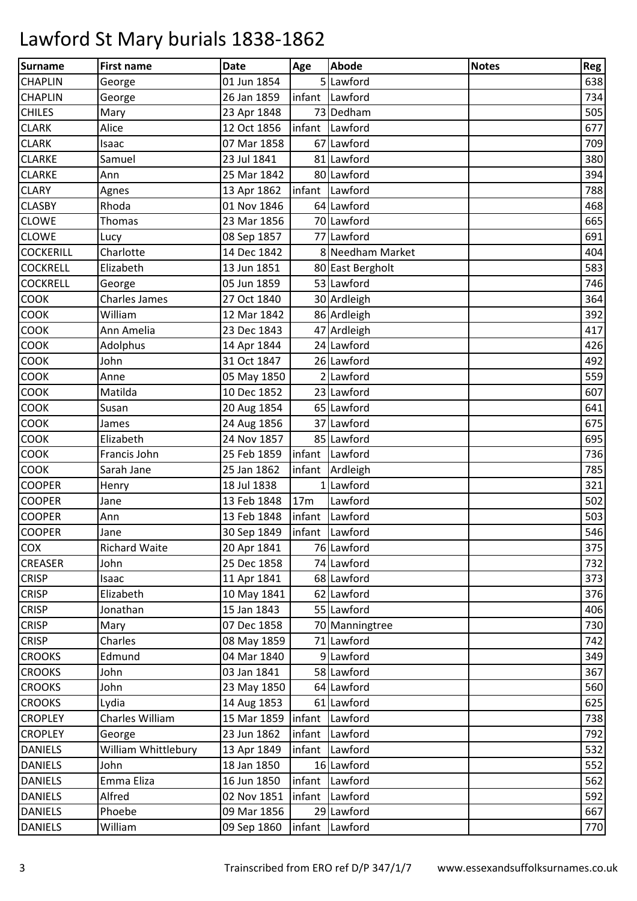| <b>Surname</b>   | <b>First name</b>    | <b>Date</b> | Age             | <b>Abode</b>     | <b>Notes</b> | Reg |
|------------------|----------------------|-------------|-----------------|------------------|--------------|-----|
| <b>CHAPLIN</b>   | George               | 01 Jun 1854 |                 | 5 Lawford        |              | 638 |
| <b>CHAPLIN</b>   | George               | 26 Jan 1859 |                 | infant Lawford   |              | 734 |
| <b>CHILES</b>    | Mary                 | 23 Apr 1848 |                 | 73 Dedham        |              | 505 |
| <b>CLARK</b>     | Alice                | 12 Oct 1856 |                 | infant Lawford   |              | 677 |
| <b>CLARK</b>     | Isaac                | 07 Mar 1858 |                 | 67 Lawford       |              | 709 |
| <b>CLARKE</b>    | Samuel               | 23 Jul 1841 |                 | 81 Lawford       |              | 380 |
| <b>CLARKE</b>    | Ann                  | 25 Mar 1842 |                 | 80 Lawford       |              | 394 |
| <b>CLARY</b>     | Agnes                | 13 Apr 1862 |                 | infant Lawford   |              | 788 |
| <b>CLASBY</b>    | Rhoda                | 01 Nov 1846 |                 | 64 Lawford       |              | 468 |
| <b>CLOWE</b>     | <b>Thomas</b>        | 23 Mar 1856 |                 | 70 Lawford       |              | 665 |
| <b>CLOWE</b>     | Lucy                 | 08 Sep 1857 |                 | 77 Lawford       |              | 691 |
| <b>COCKERILL</b> | Charlotte            | 14 Dec 1842 |                 | 8 Needham Market |              | 404 |
| <b>COCKRELL</b>  | Elizabeth            | 13 Jun 1851 |                 | 80 East Bergholt |              | 583 |
| <b>COCKRELL</b>  | George               | 05 Jun 1859 |                 | 53 Lawford       |              | 746 |
| COOK             | <b>Charles James</b> | 27 Oct 1840 |                 | 30 Ardleigh      |              | 364 |
| COOK             | William              | 12 Mar 1842 |                 | 86 Ardleigh      |              | 392 |
| COOK             | Ann Amelia           | 23 Dec 1843 |                 | 47 Ardleigh      |              | 417 |
| COOK             | Adolphus             | 14 Apr 1844 |                 | 24 Lawford       |              | 426 |
| COOK             | John                 | 31 Oct 1847 |                 | 26 Lawford       |              | 492 |
| COOK             | Anne                 | 05 May 1850 |                 | 2 Lawford        |              | 559 |
| <b>COOK</b>      | Matilda              | 10 Dec 1852 |                 | 23 Lawford       |              | 607 |
| COOK             | Susan                | 20 Aug 1854 |                 | 65 Lawford       |              | 641 |
| COOK             | James                | 24 Aug 1856 |                 | 37 Lawford       |              | 675 |
| COOK             | Elizabeth            | 24 Nov 1857 |                 | 85 Lawford       |              | 695 |
| COOK             | Francis John         | 25 Feb 1859 |                 | infant Lawford   |              | 736 |
| <b>COOK</b>      | Sarah Jane           | 25 Jan 1862 | infant          | Ardleigh         |              | 785 |
| <b>COOPER</b>    | Henry                | 18 Jul 1838 |                 | 1 Lawford        |              | 321 |
| <b>COOPER</b>    | Jane                 | 13 Feb 1848 | 17 <sub>m</sub> | Lawford          |              | 502 |
| <b>COOPER</b>    | Ann                  | 13 Feb 1848 |                 | infant Lawford   |              | 503 |
| <b>COOPER</b>    | Jane                 | 30 Sep 1849 |                 | infant Lawford   |              | 546 |
| COX              | <b>Richard Waite</b> | 20 Apr 1841 |                 | 76 Lawford       |              | 375 |
| <b>CREASER</b>   | John                 | 25 Dec 1858 |                 | 74 Lawford       |              | 732 |
| <b>CRISP</b>     | Isaac                | 11 Apr 1841 |                 | 68 Lawford       |              | 373 |
| <b>CRISP</b>     | Elizabeth            | 10 May 1841 |                 | 62 Lawford       |              | 376 |
| <b>CRISP</b>     | Jonathan             | 15 Jan 1843 |                 | 55 Lawford       |              | 406 |
| <b>CRISP</b>     | Mary                 | 07 Dec 1858 |                 | 70 Manningtree   |              | 730 |
| <b>CRISP</b>     | Charles              | 08 May 1859 |                 | 71 Lawford       |              | 742 |
| <b>CROOKS</b>    | Edmund               | 04 Mar 1840 |                 | 9 Lawford        |              | 349 |
| <b>CROOKS</b>    | John                 | 03 Jan 1841 |                 | 58 Lawford       |              | 367 |
| <b>CROOKS</b>    | John                 | 23 May 1850 |                 | 64 Lawford       |              | 560 |
| <b>CROOKS</b>    | Lydia                | 14 Aug 1853 |                 | 61 Lawford       |              | 625 |
| <b>CROPLEY</b>   | Charles William      | 15 Mar 1859 |                 | infant Lawford   |              | 738 |
| <b>CROPLEY</b>   | George               | 23 Jun 1862 | infant          | Lawford          |              | 792 |
| <b>DANIELS</b>   | William Whittlebury  | 13 Apr 1849 | infant          | Lawford          |              | 532 |
| <b>DANIELS</b>   | John                 | 18 Jan 1850 |                 | 16 Lawford       |              | 552 |
| <b>DANIELS</b>   | Emma Eliza           | 16 Jun 1850 |                 | infant Lawford   |              | 562 |
| <b>DANIELS</b>   | Alfred               | 02 Nov 1851 |                 | infant Lawford   |              | 592 |
| <b>DANIELS</b>   | Phoebe               | 09 Mar 1856 |                 | 29 Lawford       |              | 667 |
| <b>DANIELS</b>   | William              | 09 Sep 1860 |                 | infant Lawford   |              | 770 |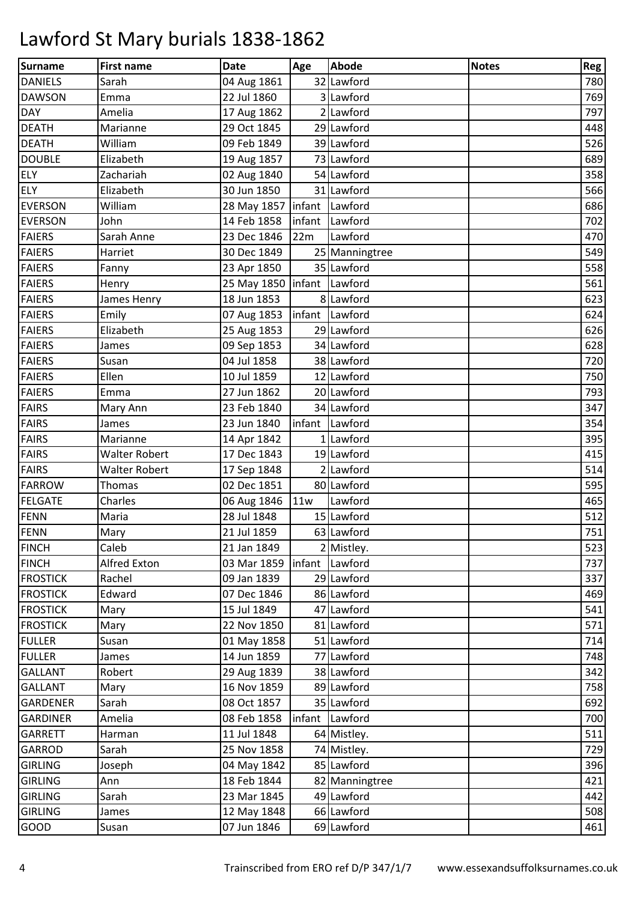| <b>Surname</b>  | <b>First name</b>    | <b>Date</b>                  | Age | <b>Abode</b>   | <b>Notes</b> | Reg |
|-----------------|----------------------|------------------------------|-----|----------------|--------------|-----|
| <b>DANIELS</b>  | Sarah                | 04 Aug 1861                  |     | 32 Lawford     |              | 780 |
| <b>DAWSON</b>   | Emma                 | 22 Jul 1860                  |     | 3 Lawford      |              | 769 |
| <b>DAY</b>      | Amelia               | 17 Aug 1862                  |     | 2 Lawford      |              | 797 |
| <b>DEATH</b>    | Marianne             | 29 Oct 1845                  |     | 29 Lawford     |              | 448 |
| <b>DEATH</b>    | William              | 09 Feb 1849                  |     | 39 Lawford     |              | 526 |
| <b>DOUBLE</b>   | Elizabeth            | 19 Aug 1857                  |     | 73 Lawford     |              | 689 |
| <b>ELY</b>      | Zachariah            | 02 Aug 1840                  |     | 54 Lawford     |              | 358 |
| <b>ELY</b>      | Elizabeth            | 30 Jun 1850                  |     | 31 Lawford     |              | 566 |
| <b>EVERSON</b>  | William              | 28 May 1857   infant Lawford |     |                |              | 686 |
| <b>EVERSON</b>  | John                 | 14 Feb 1858                  |     | infant Lawford |              | 702 |
| <b>FAIERS</b>   | Sarah Anne           | 23 Dec 1846                  | 22m | Lawford        |              | 470 |
| <b>FAIERS</b>   | Harriet              | 30 Dec 1849                  |     | 25 Manningtree |              | 549 |
| <b>FAIERS</b>   | Fanny                | 23 Apr 1850                  |     | 35 Lawford     |              | 558 |
| <b>FAIERS</b>   | Henry                | 25 May 1850   infant Lawford |     |                |              | 561 |
| <b>FAIERS</b>   | James Henry          | 18 Jun 1853                  |     | 8 Lawford      |              | 623 |
| <b>FAIERS</b>   | Emily                | 07 Aug 1853                  |     | infant Lawford |              | 624 |
| <b>FAIERS</b>   | Elizabeth            | 25 Aug 1853                  |     | 29 Lawford     |              | 626 |
| <b>FAIERS</b>   | James                | 09 Sep 1853                  |     | 34 Lawford     |              | 628 |
| <b>FAIERS</b>   | Susan                | 04 Jul 1858                  |     | 38 Lawford     |              | 720 |
| <b>FAIERS</b>   | Ellen                | 10 Jul 1859                  |     | 12 Lawford     |              | 750 |
| <b>FAIERS</b>   | Emma                 | 27 Jun 1862                  |     | 20 Lawford     |              | 793 |
| <b>FAIRS</b>    | Mary Ann             | 23 Feb 1840                  |     | 34 Lawford     |              | 347 |
| <b>FAIRS</b>    | James                | 23 Jun 1840                  |     | infant Lawford |              | 354 |
| <b>FAIRS</b>    | Marianne             | 14 Apr 1842                  |     | 1 Lawford      |              | 395 |
| <b>FAIRS</b>    | <b>Walter Robert</b> | 17 Dec 1843                  |     | 19 Lawford     |              | 415 |
| <b>FAIRS</b>    | <b>Walter Robert</b> | 17 Sep 1848                  |     | 2 Lawford      |              | 514 |
| FARROW          | Thomas               | 02 Dec 1851                  |     | 80 Lawford     |              | 595 |
| <b>FELGATE</b>  | Charles              | 06 Aug 1846 11w              |     | Lawford        |              | 465 |
| FENN            | Maria                | 28 Jul 1848                  |     | 15 Lawford     |              | 512 |
| FENN            | Mary                 | 21 Jul 1859                  |     | 63 Lawford     |              | 751 |
| <b>FINCH</b>    | Caleb                | 21 Jan 1849                  |     | 2 Mistley.     |              | 523 |
| <b>FINCH</b>    | Alfred Exton         | 03 Mar 1859                  |     | infant Lawford |              | 737 |
| <b>FROSTICK</b> | Rachel               | 09 Jan 1839                  |     | 29 Lawford     |              | 337 |
| <b>FROSTICK</b> | Edward               | 07 Dec 1846                  |     | 86 Lawford     |              | 469 |
| <b>FROSTICK</b> | Mary                 | 15 Jul 1849                  |     | 47 Lawford     |              | 541 |
| <b>FROSTICK</b> | Mary                 | 22 Nov 1850                  |     | 81 Lawford     |              | 571 |
| <b>FULLER</b>   | Susan                | 01 May 1858                  |     | 51 Lawford     |              | 714 |
| <b>FULLER</b>   | James                | 14 Jun 1859                  |     | 77 Lawford     |              | 748 |
| <b>GALLANT</b>  | Robert               | 29 Aug 1839                  |     | 38 Lawford     |              | 342 |
| <b>GALLANT</b>  | Mary                 | 16 Nov 1859                  |     | 89 Lawford     |              | 758 |
| <b>GARDENER</b> | Sarah                | 08 Oct 1857                  |     | 35 Lawford     |              | 692 |
| <b>GARDINER</b> | Amelia               | 08 Feb 1858                  |     | infant Lawford |              | 700 |
| <b>GARRETT</b>  | Harman               | 11 Jul 1848                  |     | 64 Mistley.    |              | 511 |
| <b>GARROD</b>   | Sarah                | 25 Nov 1858                  |     | 74 Mistley.    |              | 729 |
| <b>GIRLING</b>  | Joseph               | 04 May 1842                  |     | 85 Lawford     |              | 396 |
| <b>GIRLING</b>  | Ann                  | 18 Feb 1844                  |     | 82 Manningtree |              | 421 |
| <b>GIRLING</b>  | Sarah                | 23 Mar 1845                  |     | 49 Lawford     |              | 442 |
| <b>GIRLING</b>  | James                | 12 May 1848                  |     | 66 Lawford     |              | 508 |
| <b>GOOD</b>     | Susan                | 07 Jun 1846                  |     | 69 Lawford     |              | 461 |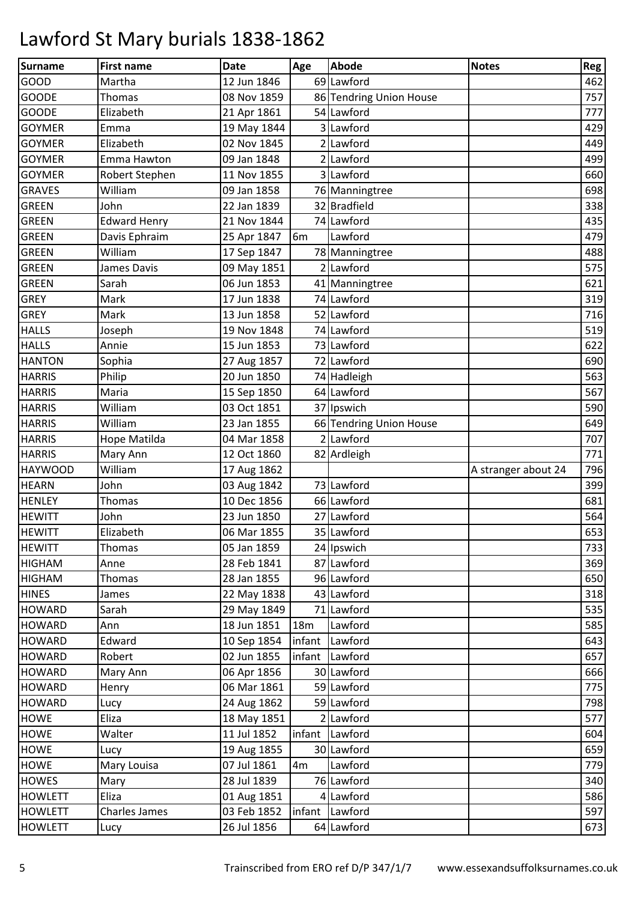| <b>Surname</b> | <b>First name</b>   | <b>Date</b> | Age            | <b>Abode</b>            | <b>Notes</b>        | Reg |
|----------------|---------------------|-------------|----------------|-------------------------|---------------------|-----|
| <b>GOOD</b>    | Martha              | 12 Jun 1846 |                | 69 Lawford              |                     | 462 |
| <b>GOODE</b>   | Thomas              | 08 Nov 1859 |                | 86 Tendring Union House |                     | 757 |
| <b>GOODE</b>   | Elizabeth           | 21 Apr 1861 |                | 54 Lawford              |                     | 777 |
| <b>GOYMER</b>  | Emma                | 19 May 1844 |                | 3 Lawford               |                     | 429 |
| <b>GOYMER</b>  | Elizabeth           | 02 Nov 1845 |                | 2 Lawford               |                     | 449 |
| <b>GOYMER</b>  | Emma Hawton         | 09 Jan 1848 |                | 2 Lawford               |                     | 499 |
| <b>GOYMER</b>  | Robert Stephen      | 11 Nov 1855 |                | 3 Lawford               |                     | 660 |
| <b>GRAVES</b>  | William             | 09 Jan 1858 |                | 76 Manningtree          |                     | 698 |
| <b>GREEN</b>   | John                | 22 Jan 1839 |                | 32 Bradfield            |                     | 338 |
| <b>GREEN</b>   | <b>Edward Henry</b> | 21 Nov 1844 |                | 74 Lawford              |                     | 435 |
| <b>GREEN</b>   | Davis Ephraim       | 25 Apr 1847 | 6 <sub>m</sub> | Lawford                 |                     | 479 |
| <b>GREEN</b>   | William             | 17 Sep 1847 |                | 78 Manningtree          |                     | 488 |
| <b>GREEN</b>   | James Davis         | 09 May 1851 |                | 2 Lawford               |                     | 575 |
| <b>GREEN</b>   | Sarah               | 06 Jun 1853 |                | 41 Manningtree          |                     | 621 |
| <b>GREY</b>    | Mark                | 17 Jun 1838 |                | 74 Lawford              |                     | 319 |
| <b>GREY</b>    | Mark                | 13 Jun 1858 |                | 52 Lawford              |                     | 716 |
| <b>HALLS</b>   | Joseph              | 19 Nov 1848 |                | 74 Lawford              |                     | 519 |
| <b>HALLS</b>   | Annie               | 15 Jun 1853 |                | 73 Lawford              |                     | 622 |
| <b>HANTON</b>  | Sophia              | 27 Aug 1857 |                | 72 Lawford              |                     | 690 |
| <b>HARRIS</b>  | Philip              | 20 Jun 1850 |                | 74 Hadleigh             |                     | 563 |
| <b>HARRIS</b>  | Maria               | 15 Sep 1850 |                | 64 Lawford              |                     | 567 |
| <b>HARRIS</b>  | William             | 03 Oct 1851 |                | 37 Ipswich              |                     | 590 |
| <b>HARRIS</b>  | William             | 23 Jan 1855 |                | 66 Tendring Union House |                     | 649 |
| <b>HARRIS</b>  | Hope Matilda        | 04 Mar 1858 |                | 2 Lawford               |                     | 707 |
| <b>HARRIS</b>  | Mary Ann            | 12 Oct 1860 |                | 82 Ardleigh             |                     | 771 |
| <b>HAYWOOD</b> | William             | 17 Aug 1862 |                |                         | A stranger about 24 | 796 |
| <b>HEARN</b>   | John                | 03 Aug 1842 |                | 73 Lawford              |                     | 399 |
| <b>HENLEY</b>  | Thomas              | 10 Dec 1856 |                | 66 Lawford              |                     | 681 |
| <b>HEWITT</b>  | John                | 23 Jun 1850 |                | 27 Lawford              |                     | 564 |
| <b>HEWITT</b>  | Elizabeth           | 06 Mar 1855 |                | 35 Lawford              |                     | 653 |
| <b>HEWITT</b>  | Thomas              | 05 Jan 1859 |                | 24 Ipswich              |                     | 733 |
| <b>HIGHAM</b>  | Anne                | 28 Feb 1841 |                | 87 Lawford              |                     | 369 |
| <b>HIGHAM</b>  | Thomas              | 28 Jan 1855 |                | 96 Lawford              |                     | 650 |
| <b>HINES</b>   | James               | 22 May 1838 |                | 43 Lawford              |                     | 318 |
| <b>HOWARD</b>  | Sarah               | 29 May 1849 |                | 71 Lawford              |                     | 535 |
| <b>HOWARD</b>  | Ann                 | 18 Jun 1851 | 18m            | Lawford                 |                     | 585 |
| <b>HOWARD</b>  | Edward              | 10 Sep 1854 |                | infant Lawford          |                     | 643 |
| <b>HOWARD</b>  | Robert              | 02 Jun 1855 | infant         | Lawford                 |                     | 657 |
| <b>HOWARD</b>  | Mary Ann            | 06 Apr 1856 |                | 30 Lawford              |                     | 666 |
| <b>HOWARD</b>  | Henry               | 06 Mar 1861 |                | 59 Lawford              |                     | 775 |
| <b>HOWARD</b>  | Lucy                | 24 Aug 1862 |                | 59 Lawford              |                     | 798 |
| <b>HOWE</b>    | Eliza               | 18 May 1851 |                | 2 Lawford               |                     | 577 |
| <b>HOWE</b>    | Walter              | 11 Jul 1852 |                | infant Lawford          |                     | 604 |
| <b>HOWE</b>    | Lucy                | 19 Aug 1855 |                | 30 Lawford              |                     | 659 |
| <b>HOWE</b>    | Mary Louisa         | 07 Jul 1861 | 4m             | Lawford                 |                     | 779 |
| <b>HOWES</b>   | Mary                | 28 Jul 1839 |                | 76 Lawford              |                     | 340 |
| <b>HOWLETT</b> | Eliza               | 01 Aug 1851 |                | 4 Lawford               |                     | 586 |
| <b>HOWLETT</b> | Charles James       | 03 Feb 1852 |                | infant Lawford          |                     | 597 |
| <b>HOWLETT</b> | Lucy                | 26 Jul 1856 |                | 64 Lawford              |                     | 673 |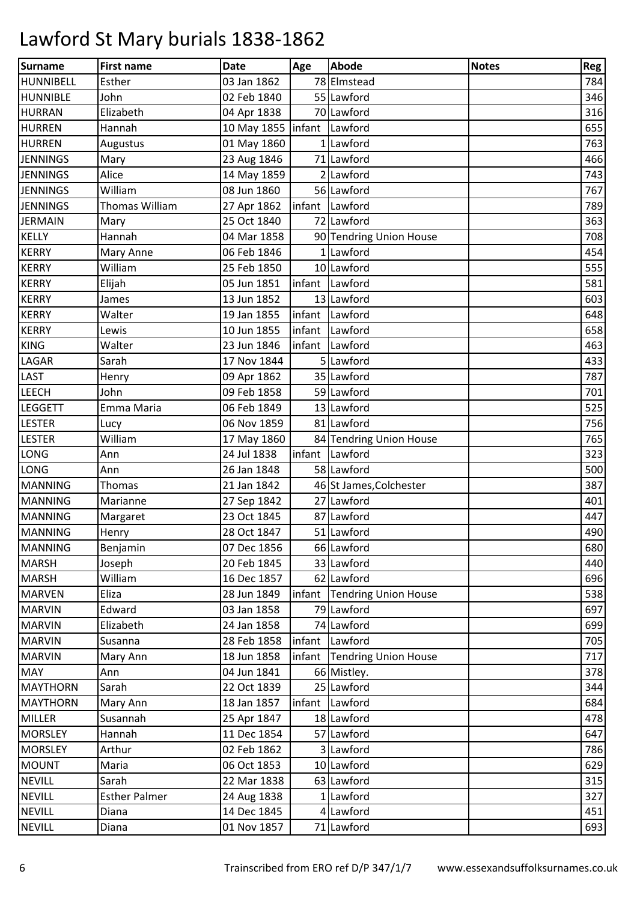| <b>Surname</b>   | <b>First name</b>     | <b>Date</b>                  | Age | <b>Abode</b>                | <b>Notes</b> | Reg |
|------------------|-----------------------|------------------------------|-----|-----------------------------|--------------|-----|
| <b>HUNNIBELL</b> | Esther                | 03 Jan 1862                  |     | 78 Elmstead                 |              | 784 |
| <b>HUNNIBLE</b>  | John                  | 02 Feb 1840                  |     | 55 Lawford                  |              | 346 |
| <b>HURRAN</b>    | Elizabeth             | 04 Apr 1838                  |     | 70 Lawford                  |              | 316 |
| <b>HURREN</b>    | Hannah                | 10 May 1855   infant Lawford |     |                             |              | 655 |
| <b>HURREN</b>    | Augustus              | 01 May 1860                  |     | 1 Lawford                   |              | 763 |
| <b>JENNINGS</b>  | Mary                  | 23 Aug 1846                  |     | 71 Lawford                  |              | 466 |
| <b>JENNINGS</b>  | Alice                 | 14 May 1859                  |     | 2 Lawford                   |              | 743 |
| <b>JENNINGS</b>  | William               | 08 Jun 1860                  |     | 56 Lawford                  |              | 767 |
| <b>JENNINGS</b>  | <b>Thomas William</b> | 27 Apr 1862                  |     | infant Lawford              |              | 789 |
| <b>JERMAIN</b>   | Mary                  | 25 Oct 1840                  |     | 72 Lawford                  |              | 363 |
| <b>KELLY</b>     | Hannah                | 04 Mar 1858                  |     | 90 Tendring Union House     |              | 708 |
| <b>KERRY</b>     | Mary Anne             | 06 Feb 1846                  |     | 1 Lawford                   |              | 454 |
| <b>KERRY</b>     | William               | 25 Feb 1850                  |     | 10 Lawford                  |              | 555 |
| <b>KERRY</b>     | Elijah                | 05 Jun 1851                  |     | infant Lawford              |              | 581 |
| <b>KERRY</b>     | James                 | 13 Jun 1852                  |     | 13 Lawford                  |              | 603 |
| <b>KERRY</b>     | Walter                | 19 Jan 1855                  |     | infant Lawford              |              | 648 |
| <b>KERRY</b>     | Lewis                 | 10 Jun 1855                  |     | infant Lawford              |              | 658 |
| <b>KING</b>      | Walter                | 23 Jun 1846                  |     | infant Lawford              |              | 463 |
| LAGAR            | Sarah                 | 17 Nov 1844                  |     | 5 Lawford                   |              | 433 |
| <b>LAST</b>      | Henry                 | 09 Apr 1862                  |     | 35 Lawford                  |              | 787 |
| <b>LEECH</b>     | John                  | 09 Feb 1858                  |     | 59 Lawford                  |              | 701 |
| <b>LEGGETT</b>   | Emma Maria            | 06 Feb 1849                  |     | 13 Lawford                  |              | 525 |
| <b>LESTER</b>    | Lucy                  | 06 Nov 1859                  |     | 81 Lawford                  |              | 756 |
| <b>LESTER</b>    | William               | 17 May 1860                  |     | 84 Tendring Union House     |              | 765 |
| <b>LONG</b>      | Ann                   | 24 Jul 1838                  |     | infant Lawford              |              | 323 |
| <b>LONG</b>      | Ann                   | 26 Jan 1848                  |     | 58 Lawford                  |              | 500 |
| <b>MANNING</b>   | Thomas                | 21 Jan 1842                  |     | 46 St James, Colchester     |              | 387 |
| <b>MANNING</b>   | Marianne              | 27 Sep 1842                  |     | 27 Lawford                  |              | 401 |
| <b>MANNING</b>   | Margaret              | 23 Oct 1845                  |     | 87 Lawford                  |              | 447 |
| <b>MANNING</b>   | Henry                 | 28 Oct 1847                  |     | 51 Lawford                  |              | 490 |
| <b>MANNING</b>   | Benjamin              | 07 Dec 1856                  |     | 66 Lawford                  |              | 680 |
| <b>MARSH</b>     | Joseph                | 20 Feb 1845                  |     | 33 Lawford                  |              | 440 |
| <b>MARSH</b>     | William               | 16 Dec 1857                  |     | 62 Lawford                  |              | 696 |
| <b>MARVEN</b>    | Eliza                 | 28 Jun 1849                  |     | infant Tendring Union House |              | 538 |
| <b>MARVIN</b>    | Edward                | 03 Jan 1858                  |     | 79 Lawford                  |              | 697 |
| <b>MARVIN</b>    | Elizabeth             | 24 Jan 1858                  |     | 74 Lawford                  |              | 699 |
| <b>MARVIN</b>    | Susanna               | 28 Feb 1858                  |     | infant Lawford              |              | 705 |
| <b>MARVIN</b>    | Mary Ann              | 18 Jun 1858                  |     | infant Tendring Union House |              | 717 |
| <b>MAY</b>       | Ann                   | 04 Jun 1841                  |     | 66 Mistley.                 |              | 378 |
| <b>MAYTHORN</b>  | Sarah                 | 22 Oct 1839                  |     | 25 Lawford                  |              | 344 |
| <b>MAYTHORN</b>  | Mary Ann              | 18 Jan 1857                  |     | infant Lawford              |              | 684 |
| <b>MILLER</b>    | Susannah              | 25 Apr 1847                  |     | 18 Lawford                  |              | 478 |
| <b>MORSLEY</b>   | Hannah                | 11 Dec 1854                  |     | 57 Lawford                  |              | 647 |
| <b>MORSLEY</b>   | Arthur                | 02 Feb 1862                  |     | 3 Lawford                   |              | 786 |
| <b>MOUNT</b>     | Maria                 | 06 Oct 1853                  |     | 10 Lawford                  |              | 629 |
| <b>NEVILL</b>    | Sarah                 | 22 Mar 1838                  |     | 63 Lawford                  |              | 315 |
| <b>NEVILL</b>    | <b>Esther Palmer</b>  | 24 Aug 1838                  |     | 1 Lawford                   |              | 327 |
| <b>NEVILL</b>    | Diana                 | 14 Dec 1845                  |     | 4 Lawford                   |              | 451 |
| <b>NEVILL</b>    | Diana                 | 01 Nov 1857                  |     | 71 Lawford                  |              | 693 |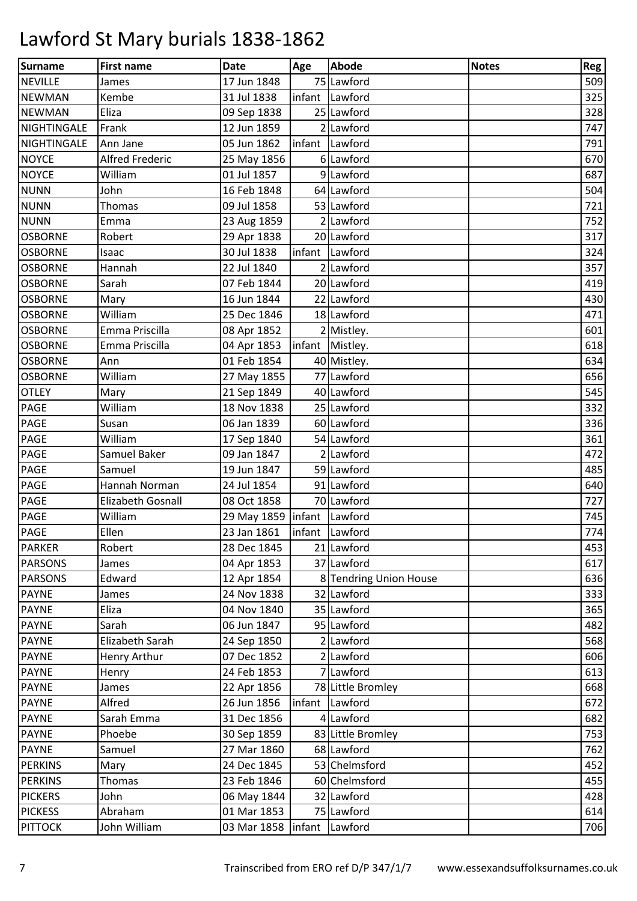| <b>Surname</b> | <b>First name</b>      | <b>Date</b>                  | Age | <b>Abode</b>           | <b>Notes</b> | Reg |
|----------------|------------------------|------------------------------|-----|------------------------|--------------|-----|
| <b>NEVILLE</b> | James                  | 17 Jun 1848                  |     | 75 Lawford             |              | 509 |
| <b>NEWMAN</b>  | Kembe                  | 31 Jul 1838                  |     | infant Lawford         |              | 325 |
| <b>NEWMAN</b>  | Eliza                  | 09 Sep 1838                  |     | 25 Lawford             |              | 328 |
| NIGHTINGALE    | Frank                  | 12 Jun 1859                  |     | 2 Lawford              |              | 747 |
| NIGHTINGALE    | Ann Jane               | 05 Jun 1862                  |     | infant Lawford         |              | 791 |
| <b>NOYCE</b>   | <b>Alfred Frederic</b> | 25 May 1856                  |     | 6 Lawford              |              | 670 |
| <b>NOYCE</b>   | William                | 01 Jul 1857                  |     | 9 Lawford              |              | 687 |
| <b>NUNN</b>    | John                   | 16 Feb 1848                  |     | 64 Lawford             |              | 504 |
| <b>NUNN</b>    | <b>Thomas</b>          | 09 Jul 1858                  |     | 53 Lawford             |              | 721 |
| <b>NUNN</b>    | Emma                   | 23 Aug 1859                  |     | $2$ Lawford            |              | 752 |
| <b>OSBORNE</b> | Robert                 | 29 Apr 1838                  |     | 20 Lawford             |              | 317 |
| <b>OSBORNE</b> | Isaac                  | 30 Jul 1838                  |     | infant Lawford         |              | 324 |
| <b>OSBORNE</b> | Hannah                 | 22 Jul 1840                  |     | 2 Lawford              |              | 357 |
| <b>OSBORNE</b> | Sarah                  | 07 Feb 1844                  |     | 20 Lawford             |              | 419 |
| <b>OSBORNE</b> | Mary                   | 16 Jun 1844                  |     | 22 Lawford             |              | 430 |
| <b>OSBORNE</b> | William                | 25 Dec 1846                  |     | 18 Lawford             |              | 471 |
| <b>OSBORNE</b> | Emma Priscilla         | 08 Apr 1852                  |     | 2 Mistley.             |              | 601 |
| <b>OSBORNE</b> | Emma Priscilla         | 04 Apr 1853                  |     | infant Mistley.        |              | 618 |
| <b>OSBORNE</b> | Ann                    | 01 Feb 1854                  |     | 40 Mistley.            |              | 634 |
| <b>OSBORNE</b> | William                | 27 May 1855                  |     | 77 Lawford             |              | 656 |
| <b>OTLEY</b>   | Mary                   | 21 Sep 1849                  |     | 40 Lawford             |              | 545 |
| PAGE           | William                | 18 Nov 1838                  |     | 25 Lawford             |              | 332 |
| PAGE           | Susan                  | 06 Jan 1839                  |     | 60 Lawford             |              | 336 |
| PAGE           | William                | 17 Sep 1840                  |     | 54 Lawford             |              | 361 |
| PAGE           | Samuel Baker           | 09 Jan 1847                  |     | 2 Lawford              |              | 472 |
| PAGE           | Samuel                 | 19 Jun 1847                  |     | 59 Lawford             |              | 485 |
| PAGE           | Hannah Norman          | 24 Jul 1854                  |     | 91 Lawford             |              | 640 |
| PAGE           | Elizabeth Gosnall      | 08 Oct 1858                  |     | 70 Lawford             |              | 727 |
| <b>PAGE</b>    | William                | 29 May 1859   infant Lawford |     |                        |              | 745 |
| <b>PAGE</b>    | Ellen                  | 23 Jan 1861                  |     | infant Lawford         |              | 774 |
| <b>PARKER</b>  | Robert                 | 28 Dec 1845                  |     | 21 Lawford             |              | 453 |
| <b>PARSONS</b> | James                  | 04 Apr 1853                  |     | 37 Lawford             |              | 617 |
| <b>PARSONS</b> | Edward                 | 12 Apr 1854                  |     | 8 Tendring Union House |              | 636 |
| <b>PAYNE</b>   | James                  | 24 Nov 1838                  |     | 32 Lawford             |              | 333 |
| <b>PAYNE</b>   | Eliza                  | 04 Nov 1840                  |     | 35 Lawford             |              | 365 |
| <b>PAYNE</b>   | Sarah                  | 06 Jun 1847                  |     | 95 Lawford             |              | 482 |
| <b>PAYNE</b>   | Elizabeth Sarah        | 24 Sep 1850                  |     | 2 Lawford              |              | 568 |
| <b>PAYNE</b>   | Henry Arthur           | 07 Dec 1852                  |     | 2 Lawford              |              | 606 |
| <b>PAYNE</b>   | Henry                  | 24 Feb 1853                  |     | 7 Lawford              |              | 613 |
| <b>PAYNE</b>   | James                  | 22 Apr 1856                  |     | 78 Little Bromley      |              | 668 |
| <b>PAYNE</b>   | Alfred                 | 26 Jun 1856                  |     | infant Lawford         |              | 672 |
| <b>PAYNE</b>   | Sarah Emma             | 31 Dec 1856                  |     | 4 Lawford              |              | 682 |
| <b>PAYNE</b>   | Phoebe                 | 30 Sep 1859                  |     | 83 Little Bromley      |              | 753 |
| <b>PAYNE</b>   | Samuel                 | 27 Mar 1860                  |     | 68 Lawford             |              | 762 |
| <b>PERKINS</b> | Mary                   | 24 Dec 1845                  |     | 53 Chelmsford          |              | 452 |
| <b>PERKINS</b> | <b>Thomas</b>          | 23 Feb 1846                  |     | 60 Chelmsford          |              | 455 |
| <b>PICKERS</b> | John                   | 06 May 1844                  |     | 32 Lawford             |              | 428 |
| <b>PICKESS</b> | Abraham                | 01 Mar 1853                  |     | 75 Lawford             |              | 614 |
| <b>PITTOCK</b> | John William           | 03 Mar 1858   infant Lawford |     |                        |              | 706 |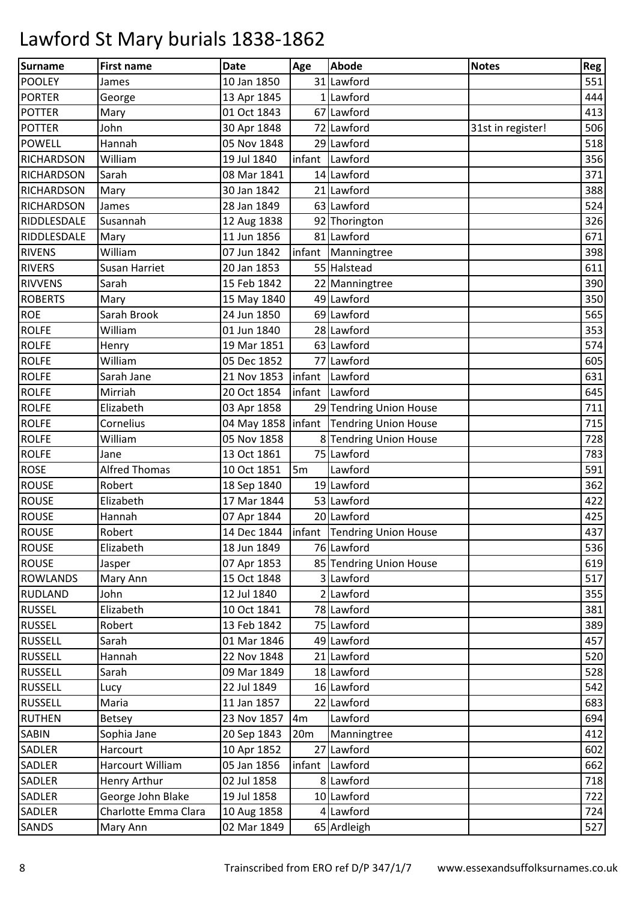| <b>Surname</b>    | <b>First name</b>    | <b>Date</b> | Age             | <b>Abode</b>                                | <b>Notes</b>      | Reg |
|-------------------|----------------------|-------------|-----------------|---------------------------------------------|-------------------|-----|
| <b>POOLEY</b>     | James                | 10 Jan 1850 |                 | 31 Lawford                                  |                   | 551 |
| <b>PORTER</b>     | George               | 13 Apr 1845 |                 | 1 Lawford                                   |                   | 444 |
| <b>POTTER</b>     | Mary                 | 01 Oct 1843 |                 | 67 Lawford                                  |                   | 413 |
| <b>POTTER</b>     | John                 | 30 Apr 1848 |                 | 72 Lawford                                  | 31st in register! | 506 |
| <b>POWELL</b>     | Hannah               | 05 Nov 1848 |                 | 29 Lawford                                  |                   | 518 |
| <b>RICHARDSON</b> | William              | 19 Jul 1840 |                 | infant Lawford                              |                   | 356 |
| <b>RICHARDSON</b> | Sarah                | 08 Mar 1841 |                 | 14 Lawford                                  |                   | 371 |
| <b>RICHARDSON</b> | Mary                 | 30 Jan 1842 |                 | 21 Lawford                                  |                   | 388 |
| <b>RICHARDSON</b> | James                | 28 Jan 1849 |                 | 63 Lawford                                  |                   | 524 |
| RIDDLESDALE       | Susannah             | 12 Aug 1838 |                 | 92 Thorington                               |                   | 326 |
| RIDDLESDALE       | Mary                 | 11 Jun 1856 |                 | 81 Lawford                                  |                   | 671 |
| <b>RIVENS</b>     | William              | 07 Jun 1842 |                 | infant Manningtree                          |                   | 398 |
| <b>RIVERS</b>     | Susan Harriet        | 20 Jan 1853 |                 | 55 Halstead                                 |                   | 611 |
| <b>RIVVENS</b>    | Sarah                | 15 Feb 1842 |                 | 22 Manningtree                              |                   | 390 |
| <b>ROBERTS</b>    | Mary                 | 15 May 1840 |                 | 49 Lawford                                  |                   | 350 |
| <b>ROE</b>        | Sarah Brook          | 24 Jun 1850 |                 | 69 Lawford                                  |                   | 565 |
| <b>ROLFE</b>      | William              | 01 Jun 1840 |                 | 28 Lawford                                  |                   | 353 |
| <b>ROLFE</b>      | Henry                | 19 Mar 1851 |                 | 63 Lawford                                  |                   | 574 |
| <b>ROLFE</b>      | William              | 05 Dec 1852 |                 | 77 Lawford                                  |                   | 605 |
| <b>ROLFE</b>      | Sarah Jane           | 21 Nov 1853 |                 | infant Lawford                              |                   | 631 |
| <b>ROLFE</b>      | Mirriah              | 20 Oct 1854 | infant          | Lawford                                     |                   | 645 |
| <b>ROLFE</b>      | Elizabeth            | 03 Apr 1858 |                 | 29 Tendring Union House                     |                   | 711 |
| <b>ROLFE</b>      | Cornelius            |             |                 | 04 May 1858   infant   Tendring Union House |                   | 715 |
| <b>ROLFE</b>      | William              | 05 Nov 1858 |                 | 8 Tendring Union House                      |                   | 728 |
| <b>ROLFE</b>      | Jane                 | 13 Oct 1861 |                 | 75 Lawford                                  |                   | 783 |
| <b>ROSE</b>       | <b>Alfred Thomas</b> | 10 Oct 1851 | 5m              | Lawford                                     |                   | 591 |
| <b>ROUSE</b>      | Robert               | 18 Sep 1840 |                 | 19 Lawford                                  |                   | 362 |
| <b>ROUSE</b>      | Elizabeth            | 17 Mar 1844 |                 | 53 Lawford                                  |                   | 422 |
| <b>ROUSE</b>      | Hannah               | 07 Apr 1844 |                 | 20 Lawford                                  |                   | 425 |
| <b>ROUSE</b>      | Robert               |             |                 | 14 Dec 1844   infant   Tendring Union House |                   | 437 |
| <b>ROUSE</b>      | Elizabeth            | 18 Jun 1849 |                 | 76 Lawford                                  |                   | 536 |
| <b>ROUSE</b>      | Jasper               | 07 Apr 1853 |                 | 85 Tendring Union House                     |                   | 619 |
| <b>ROWLANDS</b>   | Mary Ann             | 15 Oct 1848 |                 | 3 Lawford                                   |                   | 517 |
| <b>RUDLAND</b>    | John                 | 12 Jul 1840 |                 | 2 Lawford                                   |                   | 355 |
| <b>RUSSEL</b>     | Elizabeth            | 10 Oct 1841 |                 | 78 Lawford                                  |                   | 381 |
| <b>RUSSEL</b>     | Robert               | 13 Feb 1842 |                 | 75 Lawford                                  |                   | 389 |
| <b>RUSSELL</b>    | Sarah                | 01 Mar 1846 |                 | $\overline{49}$ Lawford                     |                   | 457 |
| <b>RUSSELL</b>    | Hannah               | 22 Nov 1848 |                 | 21 Lawford                                  |                   | 520 |
| <b>RUSSELL</b>    | Sarah                | 09 Mar 1849 |                 | 18 Lawford                                  |                   | 528 |
| <b>RUSSELL</b>    | Lucy                 | 22 Jul 1849 |                 | 16 Lawford                                  |                   | 542 |
| <b>RUSSELL</b>    | Maria                | 11 Jan 1857 |                 | 22 Lawford                                  |                   | 683 |
| <b>RUTHEN</b>     | <b>Betsey</b>        | 23 Nov 1857 | 4m              | Lawford                                     |                   | 694 |
| <b>SABIN</b>      | Sophia Jane          | 20 Sep 1843 | 20 <sub>m</sub> | Manningtree                                 |                   | 412 |
| <b>SADLER</b>     | Harcourt             | 10 Apr 1852 |                 | 27 Lawford                                  |                   | 602 |
| <b>SADLER</b>     | Harcourt William     | 05 Jan 1856 |                 | infant Lawford                              |                   | 662 |
| <b>SADLER</b>     | Henry Arthur         | 02 Jul 1858 |                 | 8 Lawford                                   |                   | 718 |
| SADLER            | George John Blake    | 19 Jul 1858 |                 | 10 Lawford                                  |                   | 722 |
| SADLER            | Charlotte Emma Clara | 10 Aug 1858 |                 | 4 Lawford                                   |                   | 724 |
| SANDS             | Mary Ann             | 02 Mar 1849 |                 | 65 Ardleigh                                 |                   | 527 |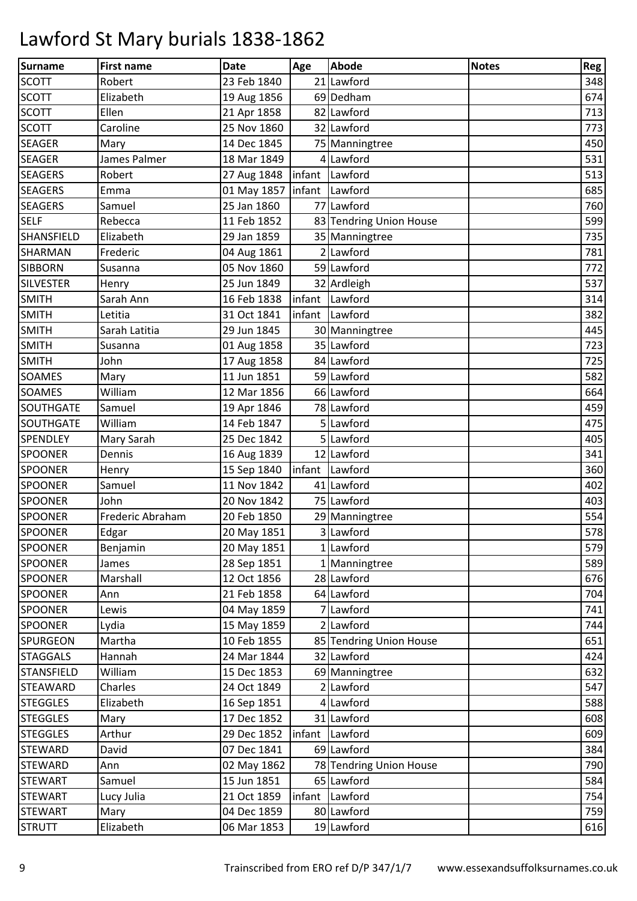| <b>Surname</b>    | <b>First name</b> | <b>Date</b>                    | Age | <b>Abode</b>            | <b>Notes</b> | Reg |
|-------------------|-------------------|--------------------------------|-----|-------------------------|--------------|-----|
| <b>SCOTT</b>      | Robert            | 23 Feb 1840                    |     | 21 Lawford              |              | 348 |
| <b>SCOTT</b>      | Elizabeth         | 19 Aug 1856                    |     | 69 Dedham               |              | 674 |
| <b>SCOTT</b>      | Ellen             | 21 Apr 1858                    |     | 82 Lawford              |              | 713 |
| <b>SCOTT</b>      | Caroline          | 25 Nov 1860                    |     | 32 Lawford              |              | 773 |
| <b>SEAGER</b>     | Mary              | 14 Dec 1845                    |     | 75 Manningtree          |              | 450 |
| <b>SEAGER</b>     | James Palmer      | 18 Mar 1849                    |     | 4 Lawford               |              | 531 |
| <b>SEAGERS</b>    | Robert            | 27 Aug 1848                    |     | infant Lawford          |              | 513 |
| <b>SEAGERS</b>    | Emma              | 01 May 1857   infant   Lawford |     |                         |              | 685 |
| <b>SEAGERS</b>    | Samuel            | 25 Jan 1860                    |     | 77 Lawford              |              | 760 |
| <b>SELF</b>       | Rebecca           | 11 Feb 1852                    |     | 83 Tendring Union House |              | 599 |
| <b>SHANSFIELD</b> | Elizabeth         | 29 Jan 1859                    |     | 35 Manningtree          |              | 735 |
| <b>SHARMAN</b>    | Frederic          | 04 Aug 1861                    |     | 2 Lawford               |              | 781 |
| <b>SIBBORN</b>    | Susanna           | 05 Nov 1860                    |     | 59 Lawford              |              | 772 |
| <b>SILVESTER</b>  | Henry             | 25 Jun 1849                    |     | 32 Ardleigh             |              | 537 |
| <b>SMITH</b>      | Sarah Ann         | 16 Feb 1838                    |     | infant Lawford          |              | 314 |
| <b>SMITH</b>      | Letitia           | 31 Oct 1841                    |     | infant Lawford          |              | 382 |
| <b>SMITH</b>      | Sarah Latitia     | 29 Jun 1845                    |     | 30 Manningtree          |              | 445 |
| <b>SMITH</b>      | Susanna           | 01 Aug 1858                    |     | 35 Lawford              |              | 723 |
| <b>SMITH</b>      | John              | 17 Aug 1858                    |     | 84 Lawford              |              | 725 |
| <b>SOAMES</b>     | Mary              | 11 Jun 1851                    |     | 59 Lawford              |              | 582 |
| <b>SOAMES</b>     | William           | 12 Mar 1856                    |     | 66 Lawford              |              | 664 |
| <b>SOUTHGATE</b>  | Samuel            | 19 Apr 1846                    |     | 78 Lawford              |              | 459 |
| <b>SOUTHGATE</b>  | William           | 14 Feb 1847                    |     | 5 Lawford               |              | 475 |
| <b>SPENDLEY</b>   | Mary Sarah        | 25 Dec 1842                    |     | 5 Lawford               |              | 405 |
| <b>SPOONER</b>    | Dennis            | 16 Aug 1839                    |     | 12 Lawford              |              | 341 |
| <b>SPOONER</b>    | Henry             | 15 Sep 1840                    |     | infant Lawford          |              | 360 |
| <b>SPOONER</b>    | Samuel            | 11 Nov 1842                    |     | 41 Lawford              |              | 402 |
| <b>SPOONER</b>    | John              | 20 Nov 1842                    |     | 75 Lawford              |              | 403 |
| <b>SPOONER</b>    | Frederic Abraham  | 20 Feb 1850                    |     | 29 Manningtree          |              | 554 |
| <b>SPOONER</b>    | Edgar             | 20 May 1851                    |     | 3 Lawford               |              | 578 |
| <b>SPOONER</b>    | Benjamin          | 20 May 1851                    |     | 1 Lawford               |              | 579 |
| <b>SPOONER</b>    | James             | 28 Sep 1851                    |     | 1 Manningtree           |              | 589 |
| <b>SPOONER</b>    | Marshall          | 12 Oct 1856                    |     | 28 Lawford              |              | 676 |
| <b>SPOONER</b>    | Ann               | 21 Feb 1858                    |     | 64 Lawford              |              | 704 |
| <b>SPOONER</b>    | Lewis             | 04 May 1859                    |     | 7 Lawford               |              | 741 |
| <b>SPOONER</b>    | Lydia             | 15 May 1859                    |     | 2 Lawford               |              | 744 |
| SPURGEON          | Martha            | 10 Feb 1855                    |     | 85 Tendring Union House |              | 651 |
| <b>STAGGALS</b>   | Hannah            | 24 Mar 1844                    |     | 32 Lawford              |              | 424 |
| <b>STANSFIELD</b> | William           | 15 Dec 1853                    |     | 69 Manningtree          |              | 632 |
| <b>STEAWARD</b>   | Charles           | 24 Oct 1849                    |     | 2 Lawford               |              | 547 |
| <b>STEGGLES</b>   | Elizabeth         | 16 Sep 1851                    |     | 4 Lawford               |              | 588 |
| <b>STEGGLES</b>   | Mary              | 17 Dec 1852                    |     | 31 Lawford              |              | 608 |
| <b>STEGGLES</b>   | Arthur            | 29 Dec 1852                    |     | infant Lawford          |              | 609 |
| <b>STEWARD</b>    | David             | 07 Dec 1841                    |     | 69 Lawford              |              | 384 |
| <b>STEWARD</b>    | Ann               | 02 May 1862                    |     | 78 Tendring Union House |              | 790 |
| <b>STEWART</b>    | Samuel            | 15 Jun 1851                    |     | 65 Lawford              |              | 584 |
| <b>STEWART</b>    | Lucy Julia        | 21 Oct 1859                    |     | infant Lawford          |              | 754 |
| <b>STEWART</b>    | Mary              | 04 Dec 1859                    |     | 80 Lawford              |              | 759 |
| <b>STRUTT</b>     | Elizabeth         | 06 Mar 1853                    |     | 19 Lawford              |              | 616 |